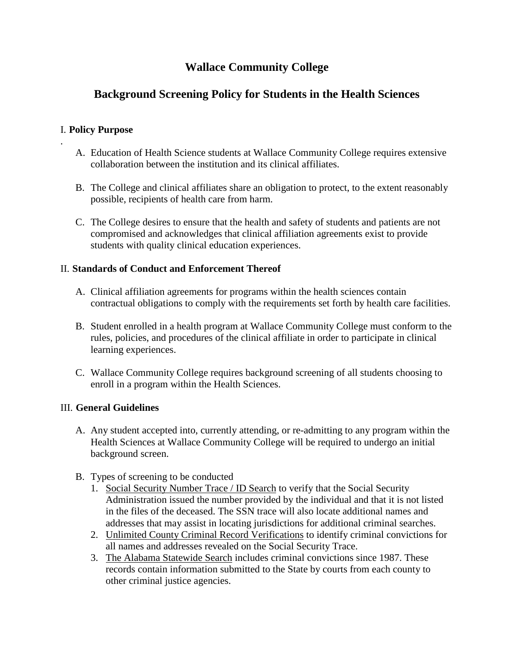# **Wallace Community College**

# **Background Screening Policy for Students in the Health Sciences**

#### I. **Policy Purpose**

.

- A. Education of Health Science students at Wallace Community College requires extensive collaboration between the institution and its clinical affiliates.
- B. The College and clinical affiliates share an obligation to protect, to the extent reasonably possible, recipients of health care from harm.
- C. The College desires to ensure that the health and safety of students and patients are not compromised and acknowledges that clinical affiliation agreements exist to provide students with quality clinical education experiences.

#### II. **Standards of Conduct and Enforcement Thereof**

- A. Clinical affiliation agreements for programs within the health sciences contain contractual obligations to comply with the requirements set forth by health care facilities.
- B. Student enrolled in a health program at Wallace Community College must conform to the rules, policies, and procedures of the clinical affiliate in order to participate in clinical learning experiences.
- C. Wallace Community College requires background screening of all students choosing to enroll in a program within the Health Sciences.

#### III. **General Guidelines**

- A. Any student accepted into, currently attending, or re-admitting to any program within the Health Sciences at Wallace Community College will be required to undergo an initial background screen.
- B. Types of screening to be conducted
	- 1. Social Security Number Trace / ID Search to verify that the Social Security Administration issued the number provided by the individual and that it is not listed in the files of the deceased. The SSN trace will also locate additional names and addresses that may assist in locating jurisdictions for additional criminal searches.
	- 2. Unlimited County Criminal Record Verifications to identify criminal convictions for all names and addresses revealed on the Social Security Trace.
	- 3. The Alabama Statewide Search includes criminal convictions since 1987. These records contain information submitted to the State by courts from each county to other criminal justice agencies.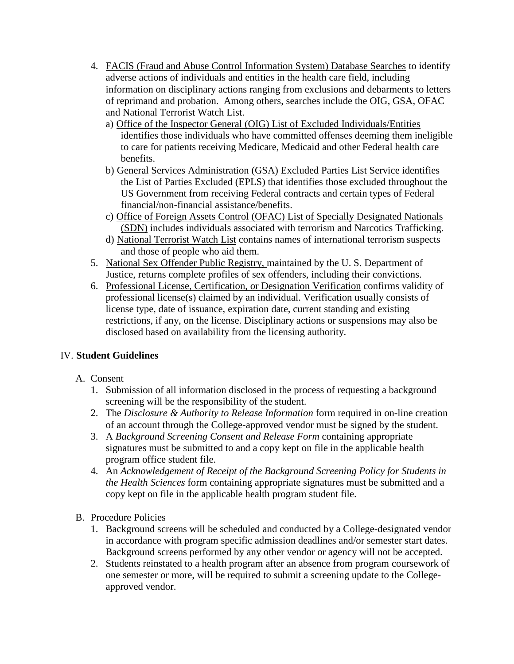- 4. FACIS (Fraud and Abuse Control Information System) Database Searches to identify adverse actions of individuals and entities in the health care field, including information on disciplinary actions ranging from exclusions and debarments to letters of reprimand and probation. Among others, searches include the OIG, GSA, OFAC and National Terrorist Watch List.
	- a) Office of the Inspector General (OIG) List of Excluded Individuals/Entities identifies those individuals who have committed offenses deeming them ineligible to care for patients receiving Medicare, Medicaid and other Federal health care benefits.
	- b) General Services Administration (GSA) Excluded Parties List Service identifies the List of Parties Excluded (EPLS) that identifies those excluded throughout the US Government from receiving Federal contracts and certain types of Federal financial/non-financial assistance/benefits.
	- c) Office of Foreign Assets Control (OFAC) List of Specially Designated Nationals (SDN) includes individuals associated with terrorism and Narcotics Trafficking.
	- d) National Terrorist Watch List contains names of international terrorism suspects and those of people who aid them.
- 5. National Sex Offender Public Registry, maintained by the U. S. Department of Justice, returns complete profiles of sex offenders, including their convictions.
- 6. Professional License, Certification, or Designation Verification confirms validity of professional license(s) claimed by an individual. Verification usually consists of license type, date of issuance, expiration date, current standing and existing restrictions, if any, on the license. Disciplinary actions or suspensions may also be disclosed based on availability from the licensing authority.

### IV. **Student Guidelines**

### A. Consent

- 1. Submission of all information disclosed in the process of requesting a background screening will be the responsibility of the student.
- 2. The *Disclosure & Authority to Release Information* form required in on-line creation of an account through the College-approved vendor must be signed by the student.
- 3. A *Background Screening Consent and Release Form* containing appropriate signatures must be submitted to and a copy kept on file in the applicable health program office student file.
- 4. An *Acknowledgement of Receipt of the Background Screening Policy for Students in the Health Sciences* form containing appropriate signatures must be submitted and a copy kept on file in the applicable health program student file.

### B. Procedure Policies

- 1. Background screens will be scheduled and conducted by a College-designated vendor in accordance with program specific admission deadlines and/or semester start dates. Background screens performed by any other vendor or agency will not be accepted.
- 2. Students reinstated to a health program after an absence from program coursework of one semester or more, will be required to submit a screening update to the Collegeapproved vendor.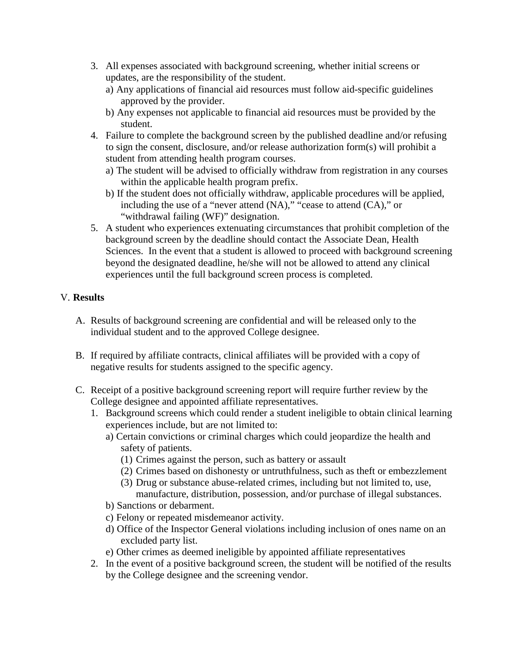- 3. All expenses associated with background screening, whether initial screens or updates, are the responsibility of the student.
	- a) Any applications of financial aid resources must follow aid-specific guidelines approved by the provider.
	- b) Any expenses not applicable to financial aid resources must be provided by the student.
- 4. Failure to complete the background screen by the published deadline and/or refusing to sign the consent, disclosure, and/or release authorization form(s) will prohibit a student from attending health program courses.
	- a) The student will be advised to officially withdraw from registration in any courses within the applicable health program prefix.
	- b) If the student does not officially withdraw, applicable procedures will be applied, including the use of a "never attend (NA)," "cease to attend (CA)," or "withdrawal failing (WF)" designation.
- 5. A student who experiences extenuating circumstances that prohibit completion of the background screen by the deadline should contact the Associate Dean, Health Sciences. In the event that a student is allowed to proceed with background screening beyond the designated deadline, he/she will not be allowed to attend any clinical experiences until the full background screen process is completed.

## V. **Results**

- A. Results of background screening are confidential and will be released only to the individual student and to the approved College designee.
- B. If required by affiliate contracts, clinical affiliates will be provided with a copy of negative results for students assigned to the specific agency.
- C. Receipt of a positive background screening report will require further review by the College designee and appointed affiliate representatives.
	- 1. Background screens which could render a student ineligible to obtain clinical learning experiences include, but are not limited to:
		- a) Certain convictions or criminal charges which could jeopardize the health and safety of patients.
			- (1) Crimes against the person, such as battery or assault
			- (2) Crimes based on dishonesty or untruthfulness, such as theft or embezzlement
			- (3) Drug or substance abuse-related crimes, including but not limited to, use, manufacture, distribution, possession, and/or purchase of illegal substances.
		- b) Sanctions or debarment.
		- c) Felony or repeated misdemeanor activity.
		- d) Office of the Inspector General violations including inclusion of ones name on an excluded party list.
		- e) Other crimes as deemed ineligible by appointed affiliate representatives
	- 2. In the event of a positive background screen, the student will be notified of the results by the College designee and the screening vendor.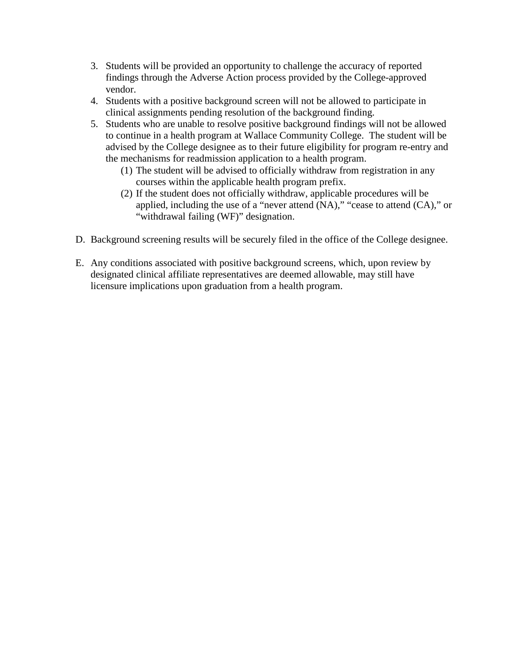- 3. Students will be provided an opportunity to challenge the accuracy of reported findings through the Adverse Action process provided by the College-approved vendor.
- 4. Students with a positive background screen will not be allowed to participate in clinical assignments pending resolution of the background finding.
- 5. Students who are unable to resolve positive background findings will not be allowed to continue in a health program at Wallace Community College. The student will be advised by the College designee as to their future eligibility for program re-entry and the mechanisms for readmission application to a health program.
	- (1) The student will be advised to officially withdraw from registration in any courses within the applicable health program prefix.
	- (2) If the student does not officially withdraw, applicable procedures will be applied, including the use of a "never attend (NA)," "cease to attend (CA)," or "withdrawal failing (WF)" designation.
- D. Background screening results will be securely filed in the office of the College designee.
- E. Any conditions associated with positive background screens, which, upon review by designated clinical affiliate representatives are deemed allowable, may still have licensure implications upon graduation from a health program.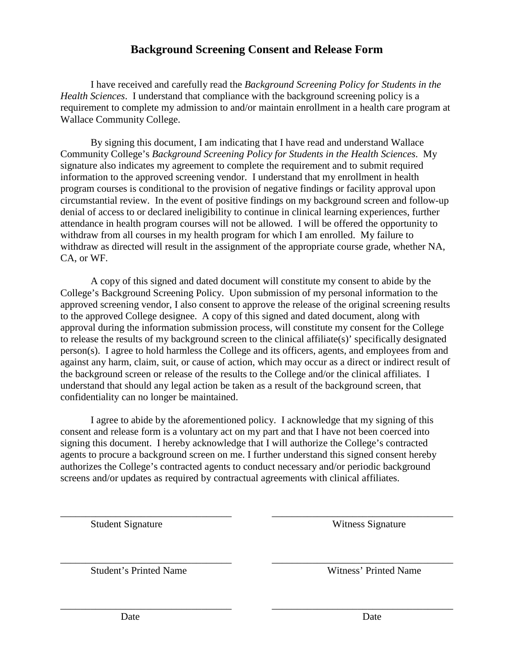## **Background Screening Consent and Release Form**

I have received and carefully read the *Background Screening Policy for Students in the Health Sciences*. I understand that compliance with the background screening policy is a requirement to complete my admission to and/or maintain enrollment in a health care program at Wallace Community College.

By signing this document, I am indicating that I have read and understand Wallace Community College's *Background Screening Policy for Students in the Health Sciences*. My signature also indicates my agreement to complete the requirement and to submit required information to the approved screening vendor. I understand that my enrollment in health program courses is conditional to the provision of negative findings or facility approval upon circumstantial review. In the event of positive findings on my background screen and follow-up denial of access to or declared ineligibility to continue in clinical learning experiences, further attendance in health program courses will not be allowed. I will be offered the opportunity to withdraw from all courses in my health program for which I am enrolled. My failure to withdraw as directed will result in the assignment of the appropriate course grade, whether NA, CA, or WF.

A copy of this signed and dated document will constitute my consent to abide by the College's Background Screening Policy. Upon submission of my personal information to the approved screening vendor, I also consent to approve the release of the original screening results to the approved College designee. A copy of this signed and dated document, along with approval during the information submission process, will constitute my consent for the College to release the results of my background screen to the clinical affiliate(s)' specifically designated person(s). I agree to hold harmless the College and its officers, agents, and employees from and against any harm, claim, suit, or cause of action, which may occur as a direct or indirect result of the background screen or release of the results to the College and/or the clinical affiliates. I understand that should any legal action be taken as a result of the background screen, that confidentiality can no longer be maintained.

I agree to abide by the aforementioned policy. I acknowledge that my signing of this consent and release form is a voluntary act on my part and that I have not been coerced into signing this document. I hereby acknowledge that I will authorize the College's contracted agents to procure a background screen on me. I further understand this signed consent hereby authorizes the College's contracted agents to conduct necessary and/or periodic background screens and/or updates as required by contractual agreements with clinical affiliates.

\_\_\_\_\_\_\_\_\_\_\_\_\_\_\_\_\_\_\_\_\_\_\_\_\_\_\_\_\_\_\_\_\_\_ \_\_\_\_\_\_\_\_\_\_\_\_\_\_\_\_\_\_\_\_\_\_\_\_\_\_\_\_\_\_\_\_\_\_\_\_

\_\_\_\_\_\_\_\_\_\_\_\_\_\_\_\_\_\_\_\_\_\_\_\_\_\_\_\_\_\_\_\_\_\_ \_\_\_\_\_\_\_\_\_\_\_\_\_\_\_\_\_\_\_\_\_\_\_\_\_\_\_\_\_\_\_\_\_\_\_\_

\_\_\_\_\_\_\_\_\_\_\_\_\_\_\_\_\_\_\_\_\_\_\_\_\_\_\_\_\_\_\_\_\_\_ \_\_\_\_\_\_\_\_\_\_\_\_\_\_\_\_\_\_\_\_\_\_\_\_\_\_\_\_\_\_\_\_\_\_\_\_

Student Signature Witness Signature

Student's Printed Name Witness' Printed Name